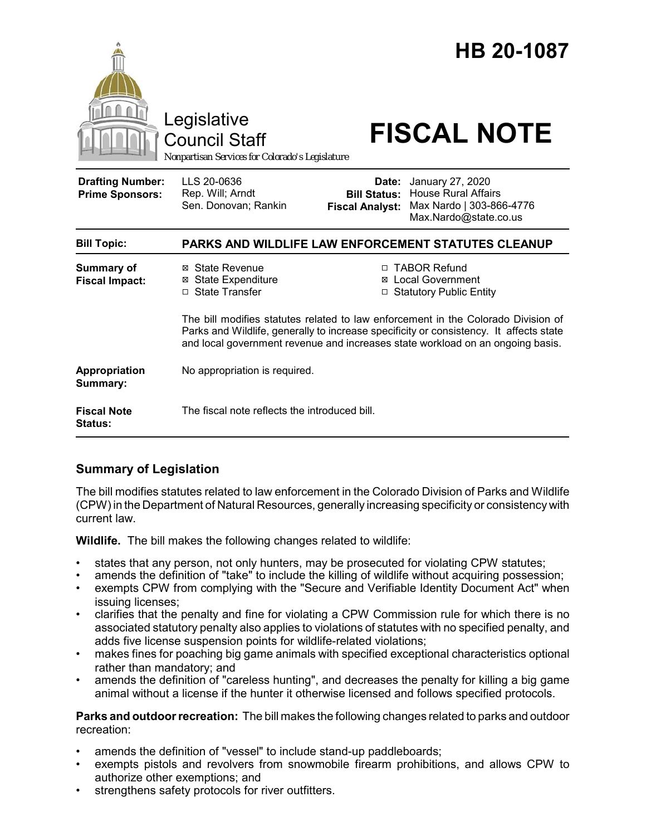

# **Summary of Legislation**

The bill modifies statutes related to law enforcement in the Colorado Division of Parks and Wildlife (CPW) in the Department of Natural Resources, generally increasing specificity or consistency with current law.

**Wildlife.** The bill makes the following changes related to wildlife:

- states that any person, not only hunters, may be prosecuted for violating CPW statutes;
- amends the definition of "take" to include the killing of wildlife without acquiring possession;
- exempts CPW from complying with the "Secure and Verifiable Identity Document Act" when issuing licenses;
- clarifies that the penalty and fine for violating a CPW Commission rule for which there is no associated statutory penalty also applies to violations of statutes with no specified penalty, and adds five license suspension points for wildlife-related violations;
- makes fines for poaching big game animals with specified exceptional characteristics optional rather than mandatory; and
- amends the definition of "careless hunting", and decreases the penalty for killing a big game animal without a license if the hunter it otherwise licensed and follows specified protocols.

**Parks and outdoor recreation:** The bill makes the following changes related to parks and outdoor recreation:

- amends the definition of "vessel" to include stand-up paddleboards;
- exempts pistols and revolvers from snowmobile firearm prohibitions, and allows CPW to authorize other exemptions; and
- strengthens safety protocols for river outfitters.